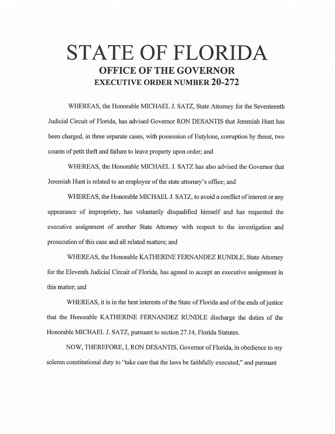# **STATE OF FLORIDA OFFICE OF THE GOVERNOR EXECUTIVE ORDER NUMBER 20-272**

WHEREAS, the Honorable MICHAEL J. SATZ, State Attorney for the Seventeenth Judicial Circuit of Florida, has advised Governor RON DESANTIS that Jeremiah Hunt has been charged, in three separate cases, with possession of Eutylone, corruption by threat, two counts of petit theft and failure to leave property upon order; and

WHEREAS, the Honorable MICHAEL J. SATZ has also advised the Governor that Jeremiah Hunt is related to an employee of the state attorney's office; and

WHEREAS, the Honorable MICHAEL J. SATZ, to avoid a conflict of interest or any appearance of impropriety, has voluntarily disqualified himself and has requested the executive assignment of another State Attorney with respect to the investigation and prosecution of this case and all related matters; and

WHEREAS, the Honorable KA THERJNE FERNANDEZ RUNDLE, State Attorney for the Eleventh Judicial Circuit of Florida, has agreed to accept an executive assignment in this matter; and

WHEREAS, it is in the best interests of the State of Florida and of the ends of justice that the Honorable KATHERINE FERNANDEZ RUNDLE discharge the duties of the Honorable MICHAEL J. SATZ, pursuant to section 27.14, Florida Statutes.

NOW, THEREFORE, I, RON DESANTIS, Governor of Florida, in obedience to my solemn constitutional duty to "take care that the laws be faithfully executed," and pursuant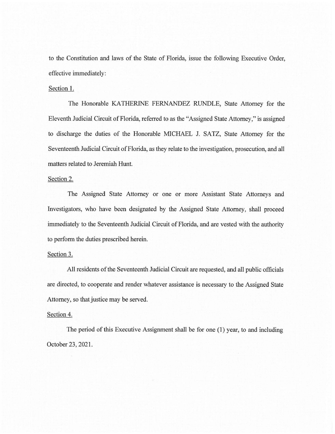to the Constitution and laws of the State of Florida, issue the following Executive Order, effective immediately:

#### Section 1.

The Honorable KATHERINE FERNANDEZ RUNDLE, State Attorney for the Eleventh Judicial Circuit of Florida, referred to as the "Assigned State Attorney," is assigned to discharge the duties of the Honorable MICHAEL J. SATZ, State Attorney for the Seventeenth Judicial Circuit of Florida, as they relate to the investigation, prosecution, and all matters related to Jeremiah Hunt.

## Section 2.

The Assigned State Attorney or one or more Assistant State Attorneys and Investigators, who have been designated by the Assigned State Attorney, shall proceed immediately to the Seventeenth Judicial Circuit of Florida, and are vested with the authority to perform the duties prescribed herein.

## Section 3.

All residents of the Seventeenth Judicial Circuit are requested, and all public officials are directed, to cooperate and render whatever assistance is necessary to the Assigned State Attorney, so that justice may be served.

#### Section 4.

The period of this Executive Assignment shall be for one (1) year, to and including October 23, 2021.